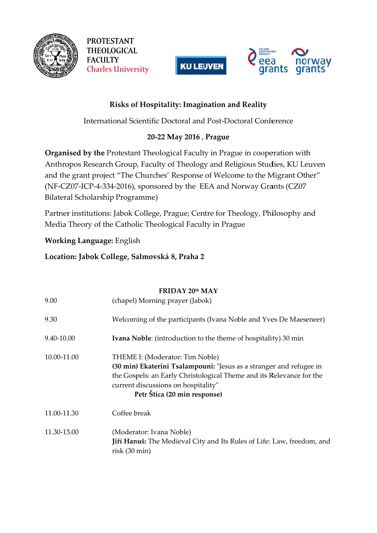

**PROTESTANT THEOLOGICAL FACULTY Charles University** 





## Risks of Hospitality: Imagination and Reality

International Scientific Doctoral and Post-Doctoral Conference

## 20-22 May 2016, Prague

Organised by the Protestant Theological Faculty in Prague in cooperation with Anthropos Research Group, Faculty of Theology and Religious Studies, KU Leuven and the grant project "The Churches' Response of Welcome to the Migrant Other" (NF-CZ07-ICP-4-334-2016), sponsored by the EEA and Norway Grants (CZ07 Bilateral Scholarship Programme)

Partner institutions: Jabok College, Prague; Centre for Theology, Philosophy and Media Theory of the Catholic Theological Faculty in Prague

## **Working Language: English**

## Location: Jabok College, Salmovská 8, Praha 2

|             | FRIDAY 20th MAY                                                                                                                                                                                                                                       |
|-------------|-------------------------------------------------------------------------------------------------------------------------------------------------------------------------------------------------------------------------------------------------------|
| 9.00        | (chapel) Morning prayer (Jabok)                                                                                                                                                                                                                       |
| 9.30        | Welcoming of the participants (Ivana Noble and Yves De Maeseneer)                                                                                                                                                                                     |
| 9.40-10.00  | <b>Ivana Noble:</b> (introduction to the theme of hospitality) 30 min                                                                                                                                                                                 |
| 10.00-11.00 | THEME I: (Moderator: Tim Noble)<br>(30 min) Ekaterini Tsalampouni: "Jesus as a stranger and refugee in<br>the Gospels: an Early Christological Theme and its Relevance for the<br>current discussions on hospitality"<br>Petr Štica (20 min response) |
| 11.00-11.30 | Coffee break                                                                                                                                                                                                                                          |
| 11.30-13.00 | (Moderator: Ivana Noble)<br>Jiří Hanuš: The Medieval City and Its Rules of Life: Law, freedom, and<br>$risk(30 \text{ min})$                                                                                                                          |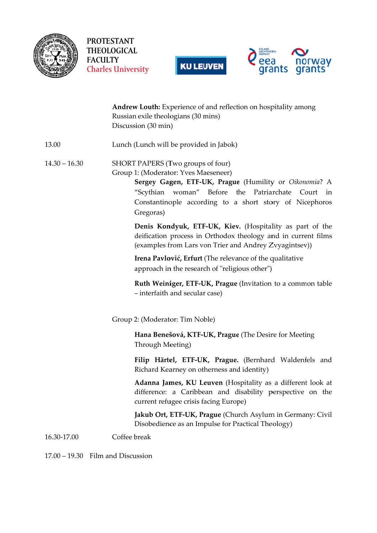

**PROTESTANT** THEOLOGICAL **FACULTY Charles University** 





|                 | Andrew Louth: Experience of and reflection on hospitality among<br>Russian exile theologians (30 mins)<br>Discussion (30 min)                                                                                                                                                |
|-----------------|------------------------------------------------------------------------------------------------------------------------------------------------------------------------------------------------------------------------------------------------------------------------------|
| 13.00           | Lunch (Lunch will be provided in Jabok)                                                                                                                                                                                                                                      |
| $14.30 - 16.30$ | SHORT PAPERS (Two groups of four)<br>Group 1: (Moderator: Yves Maeseneer)<br>Sergey Gagen, ETF-UK, Prague (Humility or Oikonomia? A<br>"Scythian woman" Before<br>the<br>Patriarchate<br>Court<br>in<br>Constantinople according to a short story of Nicephoros<br>Gregoras) |
|                 | Denis Kondyuk, ETF-UK, Kiev. (Hospitality as part of the<br>deification process in Orthodox theology and in current films<br>(examples from Lars von Trier and Andrey Zvyagintsev))                                                                                          |
|                 | Irena Pavlović, Erfurt (The relevance of the qualitative<br>approach in the research of "religious other")                                                                                                                                                                   |
|                 | Ruth Weiniger, ETF-UK, Prague (Invitation to a common table<br>- interfaith and secular case)                                                                                                                                                                                |
|                 | Group 2: (Moderator: Tim Noble)                                                                                                                                                                                                                                              |
|                 | Hana Benešová, KTF-UK, Prague (The Desire for Meeting<br>Through Meeting)                                                                                                                                                                                                    |
|                 | Filip Härtel, ETF-UK, Prague. (Bernhard Waldenfels and<br>Richard Kearney on otherness and identity)                                                                                                                                                                         |
|                 | Adanna James, KU Leuven (Hospitality as a different look at<br>difference: a Caribbean and disability perspective on the<br>current refugee crisis facing Europe)                                                                                                            |
|                 | Jakub Ort, ETF-UK, Prague (Church Asylum in Germany: Civil<br>Disobedience as an Impulse for Practical Theology)                                                                                                                                                             |
| 16.30-17.00     | Coffee break                                                                                                                                                                                                                                                                 |

 $17.00 - 19.30$  Film and Discussion